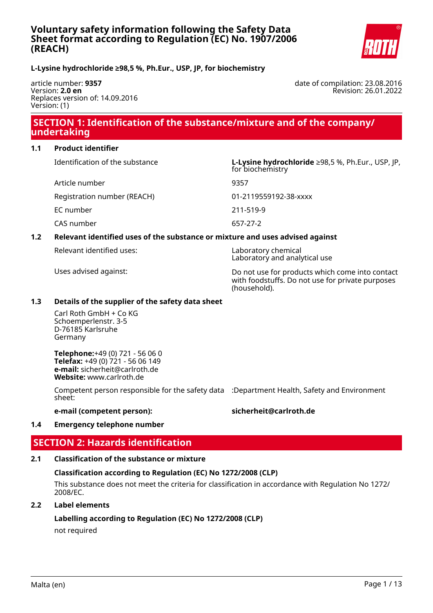

# **L-Lysine hydrochloride ≥98,5 %, Ph.Eur., USP, JP, for biochemistry**

article number: **9357** Version: **2.0 en** Replaces version of: 14.09.2016 Version: (1)

date of compilation: 23.08.2016 Revision: 26.01.2022

# **SECTION 1: Identification of the substance/mixture and of the company/ undertaking**

## **1.1 Product identifier**

Identification of the substance **L-Lysine hydrochloride** ≥98,5 %, Ph.Eur., USP, JP,

Article number 9357

for biochemistry

Registration number (REACH) 01-2119559192-38-xxxx

EC number 211-519-9

CAS number 657-27-2

# **1.2 Relevant identified uses of the substance or mixture and uses advised against**

Relevant identified uses: Laboratory chemical

Laboratory and analytical use

Uses advised against: Do not use for products which come into contact with foodstuffs. Do not use for private purposes (household).

## **1.3 Details of the supplier of the safety data sheet**

Carl Roth GmbH + Co KG Schoemperlenstr. 3-5 D-76185 Karlsruhe Germany

**Telephone:**+49 (0) 721 - 56 06 0 **Telefax:** +49 (0) 721 - 56 06 149 **e-mail:** sicherheit@carlroth.de **Website:** www.carlroth.de

Competent person responsible for the safety data :Department Health, Safety and Environment sheet:

## **e-mail (competent person): sicherheit@carlroth.de**

### **1.4 Emergency telephone number**

# **SECTION 2: Hazards identification**

## **2.1 Classification of the substance or mixture**

### **Classification according to Regulation (EC) No 1272/2008 (CLP)**

This substance does not meet the criteria for classification in accordance with Regulation No 1272/ 2008/EC.

# **2.2 Label elements**

### **Labelling according to Regulation (EC) No 1272/2008 (CLP)**

not required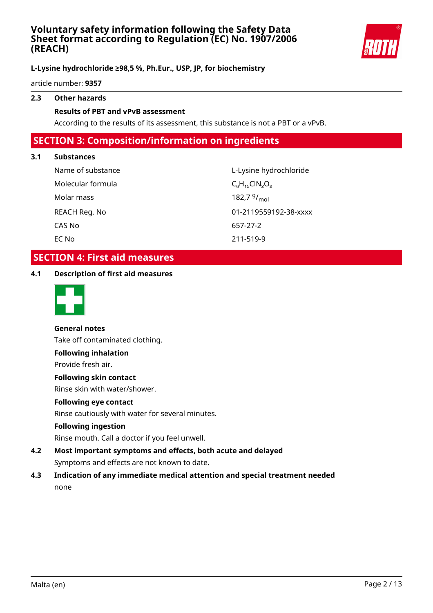

# **L-Lysine hydrochloride ≥98,5 %, Ph.Eur., USP, JP, for biochemistry**

article number: **9357**

# **2.3 Other hazards**

### **Results of PBT and vPvB assessment**

According to the results of its assessment, this substance is not a PBT or a vPvB.

# **SECTION 3: Composition/information on ingredients**

## **3.1 Substances**

| Name of substance | L-Lysine hy               |
|-------------------|---------------------------|
| Molecular formula | $C_6H_{15}CIN_2O$         |
| Molar mass        | 182,7 $9/$ <sub>mol</sub> |
| REACH Reg. No     | 01-2119559                |
| CAS No            | 657-27-2                  |
| EC No             | 211-519-9                 |

L-Lysine hydrochloride  $C_6H_{15}CIN_2O_2$ 01-2119559192-38-xxxx 657-27-2 EC No 211-519-9

# **SECTION 4: First aid measures**

**4.1 Description of first aid measures**



**General notes** Take off contaminated clothing.

# **Following inhalation**

Provide fresh air.

### **Following skin contact**

Rinse skin with water/shower.

### **Following eye contact**

Rinse cautiously with water for several minutes.

### **Following ingestion**

Rinse mouth. Call a doctor if you feel unwell.

- **4.2 Most important symptoms and effects, both acute and delayed** Symptoms and effects are not known to date.
- **4.3 Indication of any immediate medical attention and special treatment needed** none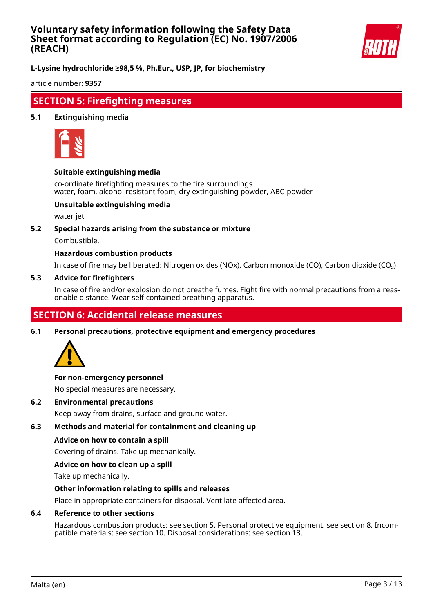

**L-Lysine hydrochloride ≥98,5 %, Ph.Eur., USP, JP, for biochemistry**

article number: **9357**

# **SECTION 5: Firefighting measures**

### **5.1 Extinguishing media**



### **Suitable extinguishing media**

co-ordinate firefighting measures to the fire surroundings water, foam, alcohol resistant foam, dry extinguishing powder, ABC-powder

## **Unsuitable extinguishing media**

water jet

### **5.2 Special hazards arising from the substance or mixture**

Combustible.

## **Hazardous combustion products**

In case of fire may be liberated: Nitrogen oxides (NOx), Carbon monoxide (CO), Carbon dioxide (CO₂)

#### **5.3 Advice for firefighters**

In case of fire and/or explosion do not breathe fumes. Fight fire with normal precautions from a reasonable distance. Wear self-contained breathing apparatus.

# **SECTION 6: Accidental release measures**

**6.1 Personal precautions, protective equipment and emergency procedures**



### **For non-emergency personnel**

No special measures are necessary.

**6.2 Environmental precautions**

Keep away from drains, surface and ground water.

## **6.3 Methods and material for containment and cleaning up**

### **Advice on how to contain a spill**

Covering of drains. Take up mechanically.

### **Advice on how to clean up a spill**

Take up mechanically.

### **Other information relating to spills and releases**

Place in appropriate containers for disposal. Ventilate affected area.

### **6.4 Reference to other sections**

Hazardous combustion products: see section 5. Personal protective equipment: see section 8. Incompatible materials: see section 10. Disposal considerations: see section 13.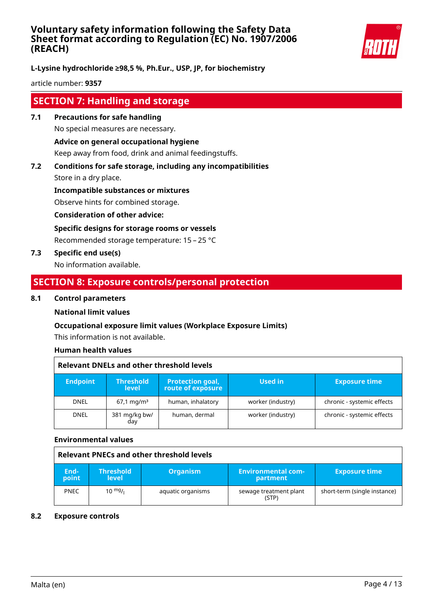

**L-Lysine hydrochloride ≥98,5 %, Ph.Eur., USP, JP, for biochemistry**

article number: **9357**

# **SECTION 7: Handling and storage**

- **7.1 Precautions for safe handling** No special measures are necessary. **Advice on general occupational hygiene** Keep away from food, drink and animal feedingstuffs.
- **7.2 Conditions for safe storage, including any incompatibilities**

Store in a dry place.

**Incompatible substances or mixtures**

Observe hints for combined storage.

**Consideration of other advice:**

**Specific designs for storage rooms or vessels**

Recommended storage temperature: 15 – 25 °C

**7.3 Specific end use(s)**

No information available.

# **SECTION 8: Exposure controls/personal protection**

## **8.1 Control parameters**

# **National limit values**

# **Occupational exposure limit values (Workplace Exposure Limits)**

This information is not available.

# **Human health values**

| <b>Relevant DNELs and other threshold levels</b> |                                  |                                              |                   |                            |
|--------------------------------------------------|----------------------------------|----------------------------------------------|-------------------|----------------------------|
| <b>Endpoint</b>                                  | <b>Threshold</b><br><b>level</b> | <b>Protection goal,</b><br>route of exposure | Used in           | <b>Exposure time</b>       |
| <b>DNEL</b>                                      | $67.1 \,\mathrm{mq/m^3}$         | human, inhalatory                            | worker (industry) | chronic - systemic effects |
| <b>DNEL</b>                                      | 381 mg/kg bw/<br>day             | human, dermal                                | worker (industry) | chronic - systemic effects |

### **Environmental values**

| Relevant PNECs and other threshold levels |                                  |                   |                                       |                              |
|-------------------------------------------|----------------------------------|-------------------|---------------------------------------|------------------------------|
| End-<br>point                             | <b>Threshold</b><br><b>level</b> | <b>Organism</b>   | <b>Environmental com-</b><br>partment | <b>Exposure time</b>         |
| <b>PNEC</b>                               | $10^{mg}$ /                      | aquatic organisms | sewage treatment plant<br>(STP)       | short-term (single instance) |

### **8.2 Exposure controls**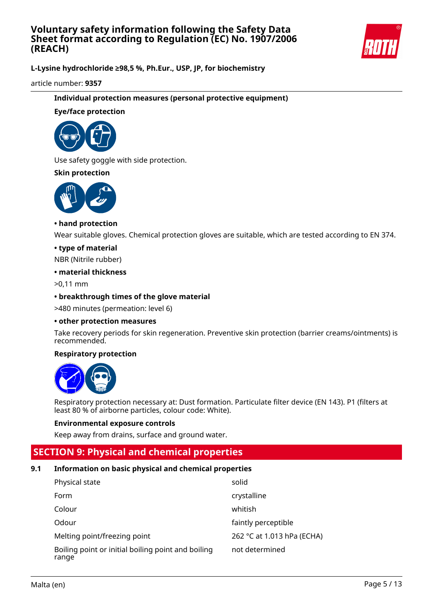

**L-Lysine hydrochloride ≥98,5 %, Ph.Eur., USP, JP, for biochemistry**

article number: **9357**

## **Individual protection measures (personal protective equipment)**

## **Eye/face protection**



Use safety goggle with side protection.

## **Skin protection**



## **• hand protection**

Wear suitable gloves. Chemical protection gloves are suitable, which are tested according to EN 374.

## **• type of material**

NBR (Nitrile rubber)

### **• material thickness**

>0,11 mm

## **• breakthrough times of the glove material**

>480 minutes (permeation: level 6)

### **• other protection measures**

Take recovery periods for skin regeneration. Preventive skin protection (barrier creams/ointments) is recommended.

## **Respiratory protection**



Respiratory protection necessary at: Dust formation. Particulate filter device (EN 143). P1 (filters at least 80 % of airborne particles, colour code: White).

### **Environmental exposure controls**

Keep away from drains, surface and ground water.

# **SECTION 9: Physical and chemical properties**

# **9.1 Information on basic physical and chemical properties**

| Physical state                                              | solid                      |
|-------------------------------------------------------------|----------------------------|
| Form                                                        | crystalline                |
| Colour                                                      | whitish                    |
| Odour                                                       | faintly perceptible        |
| Melting point/freezing point                                | 262 °C at 1.013 hPa (ECHA) |
| Boiling point or initial boiling point and boiling<br>range | not determined             |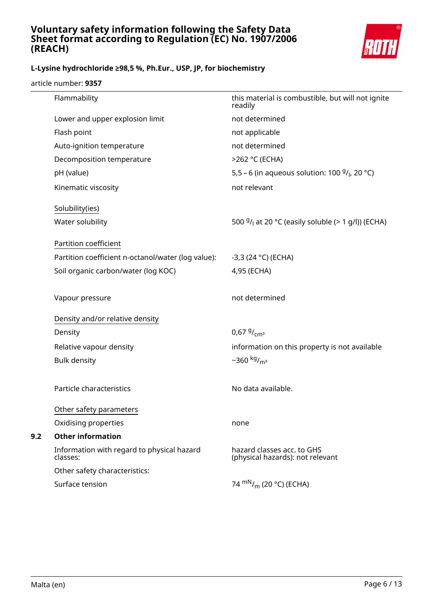

# **L-Lysine hydrochloride ≥98,5 %, Ph.Eur., USP, JP, for biochemistry**

article number: **9357**

|     | Flammability                                           | this material is combustible, but will not ignite<br>readily   |
|-----|--------------------------------------------------------|----------------------------------------------------------------|
|     | Lower and upper explosion limit                        | not determined                                                 |
|     | Flash point                                            | not applicable                                                 |
|     | Auto-ignition temperature                              | not determined                                                 |
|     | Decomposition temperature                              | >262 °C (ECHA)                                                 |
|     | pH (value)                                             | 5,5 – 6 (in aqueous solution: 100 $9/1$ , 20 °C)               |
|     | Kinematic viscosity                                    | not relevant                                                   |
|     | Solubility(ies)                                        |                                                                |
|     | Water solubility                                       | 500 $9/1$ at 20 °C (easily soluble (> 1 g/l)) (ECHA)           |
|     | Partition coefficient                                  |                                                                |
|     | Partition coefficient n-octanol/water (log value):     | $-3,3(24 °C)$ (ECHA)                                           |
|     | Soil organic carbon/water (log KOC)                    | 4,95 (ECHA)                                                    |
|     | Vapour pressure                                        | not determined                                                 |
|     | Density and/or relative density                        |                                                                |
|     | Density                                                | 0,67 $9/_{cm^3}$                                               |
|     | Relative vapour density                                | information on this property is not available                  |
|     | <b>Bulk density</b>                                    | $-360$ kg/ <sub>m<sup>3</sup></sub>                            |
|     | Particle characteristics                               | No data available.                                             |
|     | Other safety parameters                                |                                                                |
|     | Oxidising properties                                   | none                                                           |
| 9.2 | <b>Other information</b>                               |                                                                |
|     | Information with regard to physical hazard<br>classes: | hazard classes acc. to GHS<br>(physical hazards): not relevant |
|     | Other safety characteristics:                          |                                                                |
|     | Surface tension                                        | 74 $\rm{mN}_{/m}$ (20 °C) (ECHA)                               |
|     |                                                        |                                                                |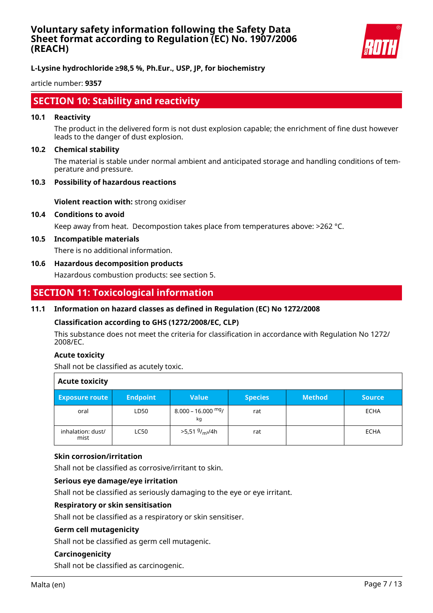

**L-Lysine hydrochloride ≥98,5 %, Ph.Eur., USP, JP, for biochemistry**

article number: **9357**

# **SECTION 10: Stability and reactivity**

### **10.1 Reactivity**

The product in the delivered form is not dust explosion capable; the enrichment of fine dust however leads to the danger of dust explosion.

#### **10.2 Chemical stability**

The material is stable under normal ambient and anticipated storage and handling conditions of temperature and pressure.

#### **10.3 Possibility of hazardous reactions**

**Violent reaction with:** strong oxidiser

#### **10.4 Conditions to avoid**

Keep away from heat. Decompostion takes place from temperatures above: >262 °C.

#### **10.5 Incompatible materials**

There is no additional information.

### **10.6 Hazardous decomposition products**

Hazardous combustion products: see section 5.

# **SECTION 11: Toxicological information**

### **11.1 Information on hazard classes as defined in Regulation (EC) No 1272/2008**

### **Classification according to GHS (1272/2008/EC, CLP)**

This substance does not meet the criteria for classification in accordance with Regulation No 1272/ 2008/EC.

### **Acute toxicity**

Shall not be classified as acutely toxic.

| <b>Acute toxicity</b>     |                 |                                        |                |               |               |
|---------------------------|-----------------|----------------------------------------|----------------|---------------|---------------|
| <b>Exposure route</b>     | <b>Endpoint</b> | <b>Value</b>                           | <b>Species</b> | <b>Method</b> | <b>Source</b> |
| oral                      | LD50            | $8.000 - 16.000$ mg/<br>kg             | rat            |               | <b>ECHA</b>   |
| inhalation: dust/<br>mist | <b>LC50</b>     | >5,51 <sup>g</sup> / <sub>m3</sub> /4h | rat            |               | <b>ECHA</b>   |

### **Skin corrosion/irritation**

Shall not be classified as corrosive/irritant to skin.

### **Serious eye damage/eye irritation**

Shall not be classified as seriously damaging to the eye or eye irritant.

## **Respiratory or skin sensitisation**

Shall not be classified as a respiratory or skin sensitiser.

### **Germ cell mutagenicity**

Shall not be classified as germ cell mutagenic.

## **Carcinogenicity**

Shall not be classified as carcinogenic.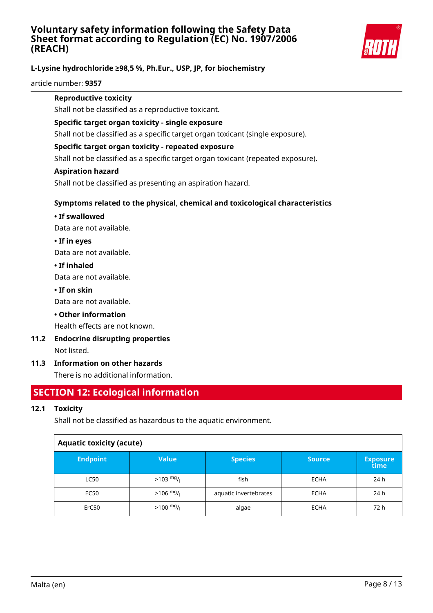

# **L-Lysine hydrochloride ≥98,5 %, Ph.Eur., USP, JP, for biochemistry**

article number: **9357**

## **Reproductive toxicity**

Shall not be classified as a reproductive toxicant.

### **Specific target organ toxicity - single exposure**

Shall not be classified as a specific target organ toxicant (single exposure).

## **Specific target organ toxicity - repeated exposure**

Shall not be classified as a specific target organ toxicant (repeated exposure).

### **Aspiration hazard**

Shall not be classified as presenting an aspiration hazard.

# **Symptoms related to the physical, chemical and toxicological characteristics**

## **• If swallowed**

Data are not available.

## **• If in eyes**

Data are not available.

## **• If inhaled**

Data are not available.

## **• If on skin**

Data are not available.

# **• Other information**

Health effects are not known.

# **11.2 Endocrine disrupting properties**

Not listed.

# **11.3 Information on other hazards**

There is no additional information.

# **SECTION 12: Ecological information**

# **12.1 Toxicity**

Shall not be classified as hazardous to the aquatic environment.

| <b>Aquatic toxicity (acute)</b> |                     |                       |               |                         |
|---------------------------------|---------------------|-----------------------|---------------|-------------------------|
| <b>Endpoint</b>                 | <b>Value</b>        | <b>Species</b>        | <b>Source</b> | <b>Exposure</b><br>time |
| <b>LC50</b>                     | $>103 \frac{mg}{l}$ | fish                  | <b>ECHA</b>   | 24 h                    |
| <b>EC50</b>                     | $>106$ mg/          | aquatic invertebrates | <b>ECHA</b>   | 24 h                    |
| ErC50                           | $>100 \frac{mg}{l}$ | algae                 | <b>ECHA</b>   | 72 h                    |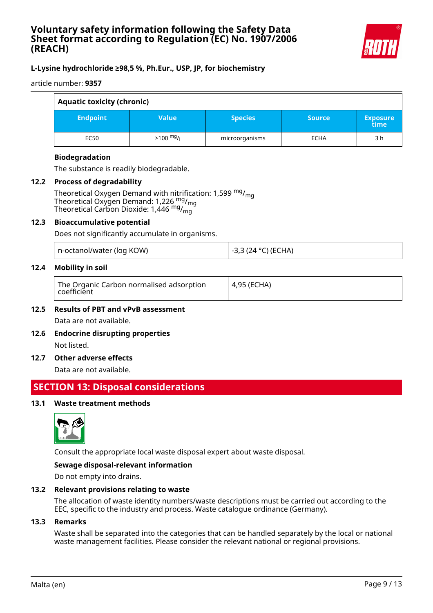

# **L-Lysine hydrochloride ≥98,5 %, Ph.Eur., USP, JP, for biochemistry**

article number: **9357**

| <b>Aquatic toxicity (chronic)</b> |                     |                |               |                         |
|-----------------------------------|---------------------|----------------|---------------|-------------------------|
| <b>Endpoint</b>                   | <b>Value</b>        | <b>Species</b> | <b>Source</b> | <b>Exposure</b><br>time |
| EC50                              | $>100 \frac{mg}{l}$ | microorganisms | <b>ECHA</b>   | 3 h                     |

# **Biodegradation**

The substance is readily biodegradable.

## **12.2 Process of degradability**

Theoretical Oxygen Demand with nitrification: 1,599  $mg/m<sub>0</sub>$ Theoretical Oxygen Demand: 1,226  $mg/mq$ Theoretical Carbon Dioxide: 1,446 mg/mg

### **12.3 Bioaccumulative potential**

Does not significantly accumulate in organisms.

|  | n-octanol/water (log KOW) |
|--|---------------------------|
|--|---------------------------|

## **12.4 Mobility in soil**

| The Organic Carbon normalised adsorption<br>4,95 (ECHA)<br>coefficient |  |
|------------------------------------------------------------------------|--|
|------------------------------------------------------------------------|--|

-3,3 (24 °C) (ECHA)

# **12.5 Results of PBT and vPvB assessment** Data are not available.

**12.6 Endocrine disrupting properties** Not listed.

### **12.7 Other adverse effects**

Data are not available.

# **SECTION 13: Disposal considerations**

## **13.1 Waste treatment methods**



Consult the appropriate local waste disposal expert about waste disposal.

### **Sewage disposal-relevant information**

Do not empty into drains.

### **13.2 Relevant provisions relating to waste**

The allocation of waste identity numbers/waste descriptions must be carried out according to the EEC, specific to the industry and process. Waste catalogue ordinance (Germany).

### **13.3 Remarks**

Waste shall be separated into the categories that can be handled separately by the local or national waste management facilities. Please consider the relevant national or regional provisions.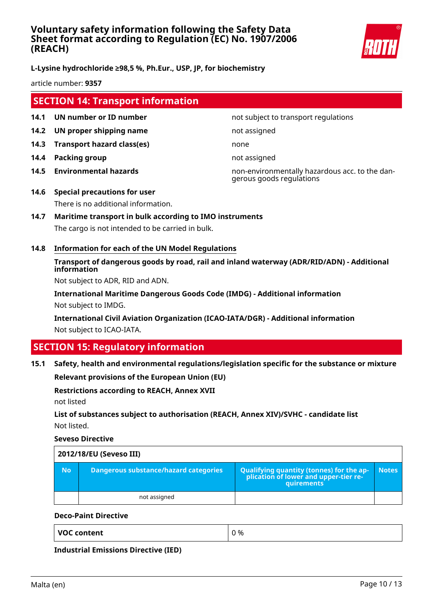

# **L-Lysine hydrochloride ≥98,5 %, Ph.Eur., USP, JP, for biochemistry**

article number: **9357**

# **SECTION 14: Transport information**

- **14.1 UN number or ID number not subject to transport regulations**
- **14.2 UN proper shipping name** not assigned
- **14.3 Transport hazard class(es)** none
- **14.4 Packing group not assigned**
- 

**14.5 Environmental hazards** non-environmentally hazardous acc. to the dangerous goods regulations

- **14.6 Special precautions for user** There is no additional information.
- **14.7 Maritime transport in bulk according to IMO instruments** The cargo is not intended to be carried in bulk.
- **14.8 Information for each of the UN Model Regulations**

# **Transport of dangerous goods by road, rail and inland waterway (ADR/RID/ADN) - Additional information**

Not subject to ADR, RID and ADN.

**International Maritime Dangerous Goods Code (IMDG) - Additional information** Not subject to IMDG.

**International Civil Aviation Organization (ICAO-IATA/DGR) - Additional information** Not subject to ICAO-IATA.

# **SECTION 15: Regulatory information**

### **15.1 Safety, health and environmental regulations/legislation specific for the substance or mixture**

**Relevant provisions of the European Union (EU)**

### **Restrictions according to REACH, Annex XVII**

not listed

# **List of substances subject to authorisation (REACH, Annex XIV)/SVHC - candidate list** Not listed.

**Seveso Directive**

| 2012/18/EU (Seveso III) |                                       |                                                                                            |              |
|-------------------------|---------------------------------------|--------------------------------------------------------------------------------------------|--------------|
| <b>No</b>               | Dangerous substance/hazard categories | Qualifying quantity (tonnes) for the application of lower and upper-tier re-<br>quirements | <b>Notes</b> |
|                         | not assigned                          |                                                                                            |              |

## **Deco-Paint Directive**

| <b>VOC content</b> | 0 % |
|--------------------|-----|
|                    |     |

**Industrial Emissions Directive (IED)**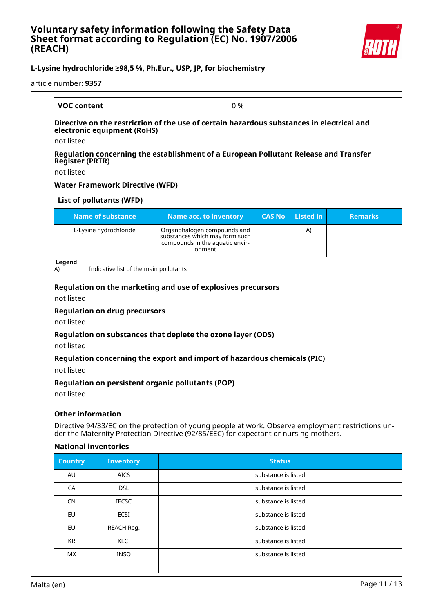

# **L-Lysine hydrochloride ≥98,5 %, Ph.Eur., USP, JP, for biochemistry**

article number: **9357**

| <b>VOC content</b> | J % |
|--------------------|-----|

### **Directive on the restriction of the use of certain hazardous substances in electrical and electronic equipment (RoHS)**

not listed

### **Regulation concerning the establishment of a European Pollutant Release and Transfer Register (PRTR)**

not listed

## **Water Framework Directive (WFD)**

| List of pollutants (WFD) |                                                                                                            |               |           |                |
|--------------------------|------------------------------------------------------------------------------------------------------------|---------------|-----------|----------------|
| Name of substance        | <b>Name acc. to inventory</b>                                                                              | <b>CAS No</b> | Listed in | <b>Remarks</b> |
| L-Lysine hydrochloride   | Organohalogen compounds and<br>substances which may form such<br>compounds in the aquatic envir-<br>onment |               | A)        |                |

**Legend**

A) Indicative list of the main pollutants

## **Regulation on the marketing and use of explosives precursors**

not listed

### **Regulation on drug precursors**

not listed

### **Regulation on substances that deplete the ozone layer (ODS)**

not listed

### **Regulation concerning the export and import of hazardous chemicals (PIC)**

not listed

### **Regulation on persistent organic pollutants (POP)**

not listed

### **Other information**

Directive 94/33/EC on the protection of young people at work. Observe employment restrictions under the Maternity Protection Directive (92/85/EEC) for expectant or nursing mothers.

### **National inventories**

| <b>Country</b> | <b>Inventory</b> | <b>Status</b>       |
|----------------|------------------|---------------------|
| AU             | <b>AICS</b>      | substance is listed |
| CA             | <b>DSL</b>       | substance is listed |
| <b>CN</b>      | <b>IECSC</b>     | substance is listed |
| EU             | ECSI             | substance is listed |
| EU             | REACH Reg.       | substance is listed |
| <b>KR</b>      | KECI             | substance is listed |
| <b>MX</b>      | <b>INSQ</b>      | substance is listed |
|                |                  |                     |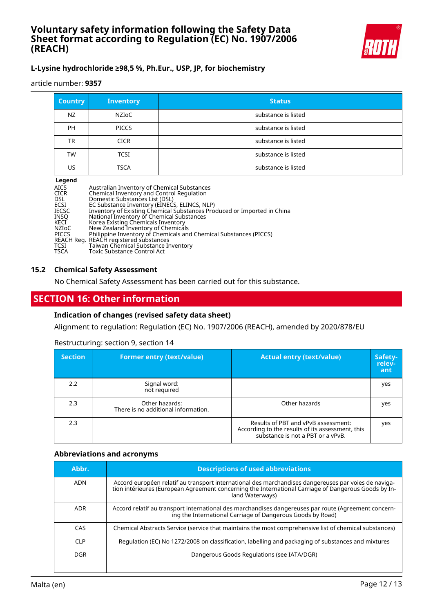

# **L-Lysine hydrochloride ≥98,5 %, Ph.Eur., USP, JP, for biochemistry**

article number: **9357**

| <b>Country</b> | <b>Inventory</b> | <b>Status</b>       |
|----------------|------------------|---------------------|
| NZ             | NZIoC            | substance is listed |
| <b>PH</b>      | <b>PICCS</b>     | substance is listed |
| TR             | <b>CICR</b>      | substance is listed |
| TW             | <b>TCSI</b>      | substance is listed |
| US             | <b>TSCA</b>      | substance is listed |

### **Legend**

| Australian Inventory of Chemical Substances<br>Chemical Inventory and Control Regulation |
|------------------------------------------------------------------------------------------|
| Domestic Substances List (DSL)                                                           |
| EC Substance Inventory (EINECS, ELINCS, NLP)                                             |
| Inventory of Existing Chemical Substances Produced or Imported in China                  |
| National Inventory of Chemical Substances                                                |
| Korea Existing Chemicals Inventory                                                       |
| New Zealand Inventory of Chemicals                                                       |
| Philippine Inventory of Chemicals and Chemical Substances (PICCS)                        |
| REACH Reg. REACH registered substances                                                   |
| Taiwan Chemical Substance Inventory                                                      |
| <b>Toxic Substance Control Act</b>                                                       |
|                                                                                          |

### **15.2 Chemical Safety Assessment**

No Chemical Safety Assessment has been carried out for this substance.

# **SECTION 16: Other information**

### **Indication of changes (revised safety data sheet)**

Alignment to regulation: Regulation (EC) No. 1907/2006 (REACH), amended by 2020/878/EU

### Restructuring: section 9, section 14

| <b>Section</b> | <b>Former entry (text/value)</b>                      | <b>Actual entry (text/value)</b>                                                                                             | Safety-<br>relev-<br>ant |
|----------------|-------------------------------------------------------|------------------------------------------------------------------------------------------------------------------------------|--------------------------|
| 2.2            | Signal word:<br>not required                          |                                                                                                                              | yes                      |
| 2.3            | Other hazards:<br>There is no additional information. | Other hazards                                                                                                                | yes                      |
| 2.3            |                                                       | Results of PBT and vPvB assessment:<br>According to the results of its assessment, this<br>substance is not a PBT or a vPvB. | yes                      |

### **Abbreviations and acronyms**

| Abbr.      | <b>Descriptions of used abbreviations</b>                                                                                                                                                                                       |
|------------|---------------------------------------------------------------------------------------------------------------------------------------------------------------------------------------------------------------------------------|
| ADN        | Accord européen relatif au transport international des marchandises dangereuses par voies de naviga-<br>tion intérieures (European Agreement concerning the International Carriage of Dangerous Goods by In-<br>land Waterways) |
| <b>ADR</b> | Accord relatif au transport international des marchandises dangereuses par route (Agreement concern-<br>ing the International Carriage of Dangerous Goods by Road)                                                              |
| CAS        | Chemical Abstracts Service (service that maintains the most comprehensive list of chemical substances)                                                                                                                          |
| <b>CLP</b> | Regulation (EC) No 1272/2008 on classification, labelling and packaging of substances and mixtures                                                                                                                              |
| <b>DGR</b> | Dangerous Goods Regulations (see IATA/DGR)                                                                                                                                                                                      |